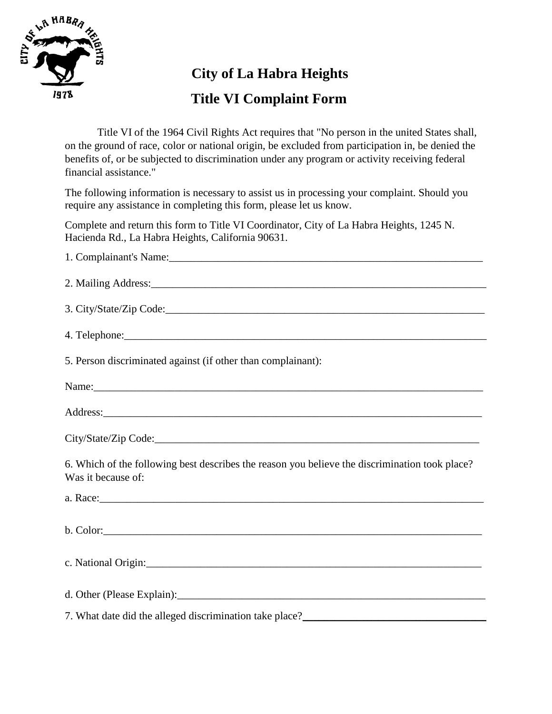

## **City of La Habra Heights**

## **Title VI Complaint Form**

Title VI of the 1964 Civil Rights Act requires that "No person in the united States shall, on the ground of race, color or national origin, be excluded from participation in, be denied the benefits of, or be subjected to discrimination under any program or activity receiving federal financial assistance."

The following information is necessary to assist us in processing your complaint. Should you require any assistance in completing this form, please let us know.

Complete and return this form to Title VI Coordinator, City of La Habra Heights, 1245 N. Hacienda Rd., La Habra Heights, California 90631.